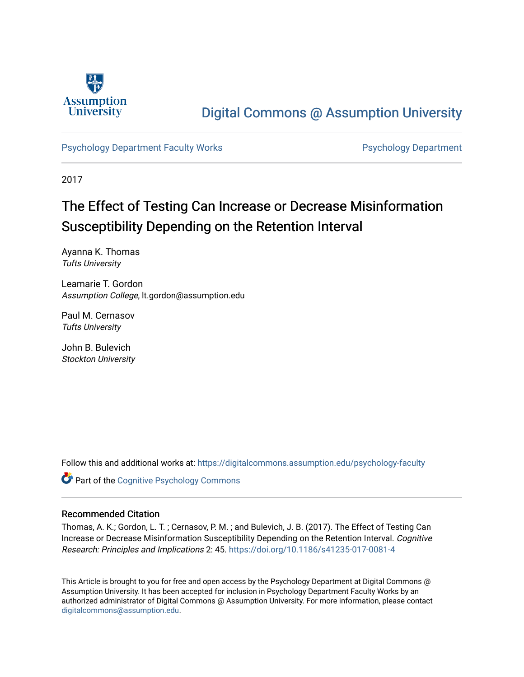

# [Digital Commons @ Assumption University](https://digitalcommons.assumption.edu/)

# [Psychology Department Faculty Works](https://digitalcommons.assumption.edu/psychology-faculty) **Provides Accord Psychology Department**

2017

# The Effect of Testing Can Increase or Decrease Misinformation Susceptibility Depending on the Retention Interval

Ayanna K. Thomas Tufts University

Leamarie T. Gordon Assumption College, lt.gordon@assumption.edu

Paul M. Cernasov Tufts University

John B. Bulevich Stockton University

Follow this and additional works at: [https://digitalcommons.assumption.edu/psychology-faculty](https://digitalcommons.assumption.edu/psychology-faculty?utm_source=digitalcommons.assumption.edu%2Fpsychology-faculty%2F8&utm_medium=PDF&utm_campaign=PDFCoverPages) 

Part of the [Cognitive Psychology Commons](http://network.bepress.com/hgg/discipline/408?utm_source=digitalcommons.assumption.edu%2Fpsychology-faculty%2F8&utm_medium=PDF&utm_campaign=PDFCoverPages) 

# Recommended Citation

Thomas, A. K.; Gordon, L. T. ; Cernasov, P. M. ; and Bulevich, J. B. (2017). The Effect of Testing Can Increase or Decrease Misinformation Susceptibility Depending on the Retention Interval. Cognitive Research: Principles and Implications 2: 45. <https://doi.org/10.1186/s41235-017-0081-4>

This Article is brought to you for free and open access by the Psychology Department at Digital Commons @ Assumption University. It has been accepted for inclusion in Psychology Department Faculty Works by an authorized administrator of Digital Commons @ Assumption University. For more information, please contact [digitalcommons@assumption.edu](mailto:digitalcommons@assumption.edu).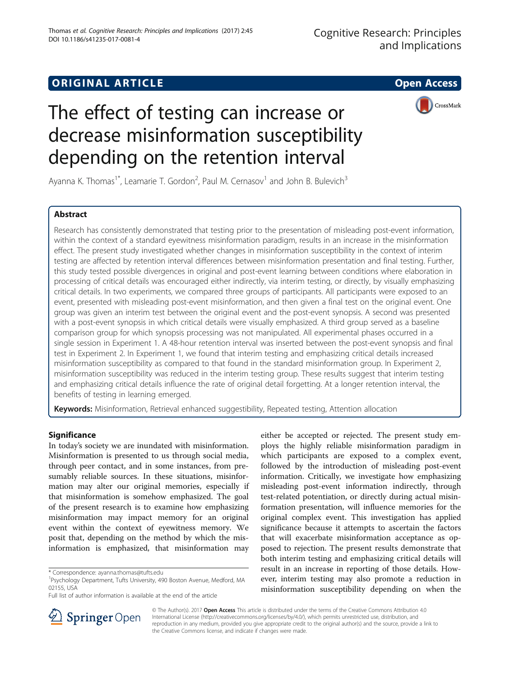# **ORIGINAL ARTICLE CONSERVANCE IN A LOCAL CONSERVANCE IN A LOCAL CONSERVANCE IN A LOCAL CONSERVANCE IN A LOCAL CONS**

CrossMark

# The effect of testing can increase or decrease misinformation susceptibility depending on the retention interval

Ayanna K. Thomas<sup>1\*</sup>, Leamarie T. Gordon<sup>2</sup>, Paul M. Cernasov<sup>1</sup> and John B. Bulevich<sup>3</sup>

# Abstract

Research has consistently demonstrated that testing prior to the presentation of misleading post-event information, within the context of a standard eyewitness misinformation paradigm, results in an increase in the misinformation effect. The present study investigated whether changes in misinformation susceptibility in the context of interim testing are affected by retention interval differences between misinformation presentation and final testing. Further, this study tested possible divergences in original and post-event learning between conditions where elaboration in processing of critical details was encouraged either indirectly, via interim testing, or directly, by visually emphasizing critical details. In two experiments, we compared three groups of participants. All participants were exposed to an event, presented with misleading post-event misinformation, and then given a final test on the original event. One group was given an interim test between the original event and the post-event synopsis. A second was presented with a post-event synopsis in which critical details were visually emphasized. A third group served as a baseline comparison group for which synopsis processing was not manipulated. All experimental phases occurred in a single session in Experiment 1. A 48-hour retention interval was inserted between the post-event synopsis and final test in Experiment 2. In Experiment 1, we found that interim testing and emphasizing critical details increased misinformation susceptibility as compared to that found in the standard misinformation group. In Experiment 2, misinformation susceptibility was reduced in the interim testing group. These results suggest that interim testing and emphasizing critical details influence the rate of original detail forgetting. At a longer retention interval, the benefits of testing in learning emerged.

Keywords: Misinformation, Retrieval enhanced suggestibility, Repeated testing, Attention allocation

### **Significance**

In today's society we are inundated with misinformation. Misinformation is presented to us through social media, through peer contact, and in some instances, from presumably reliable sources. In these situations, misinformation may alter our original memories, especially if that misinformation is somehow emphasized. The goal of the present research is to examine how emphasizing misinformation may impact memory for an original event within the context of eyewitness memory. We posit that, depending on the method by which the misinformation is emphasized, that misinformation may

either be accepted or rejected. The present study employs the highly reliable misinformation paradigm in which participants are exposed to a complex event, followed by the introduction of misleading post-event information. Critically, we investigate how emphasizing misleading post-event information indirectly, through test-related potentiation, or directly during actual misinformation presentation, will influence memories for the original complex event. This investigation has applied significance because it attempts to ascertain the factors that will exacerbate misinformation acceptance as opposed to rejection. The present results demonstrate that both interim testing and emphasizing critical details will result in an increase in reporting of those details. However, interim testing may also promote a reduction in misinformation susceptibility depending on when the



© The Author(s). 2017 Open Access This article is distributed under the terms of the Creative Commons Attribution 4.0 International License ([http://creativecommons.org/licenses/by/4.0/\)](http://creativecommons.org/licenses/by/4.0/), which permits unrestricted use, distribution, and reproduction in any medium, provided you give appropriate credit to the original author(s) and the source, provide a link to the Creative Commons license, and indicate if changes were made.

<sup>\*</sup> Correspondence: [ayanna.thomas@tufts.edu](mailto:ayanna.thomas@tufts.edu) <sup>1</sup>

<sup>&</sup>lt;sup>1</sup>Psychology Department, Tufts University, 490 Boston Avenue, Medford, MA 02155, USA

Full list of author information is available at the end of the article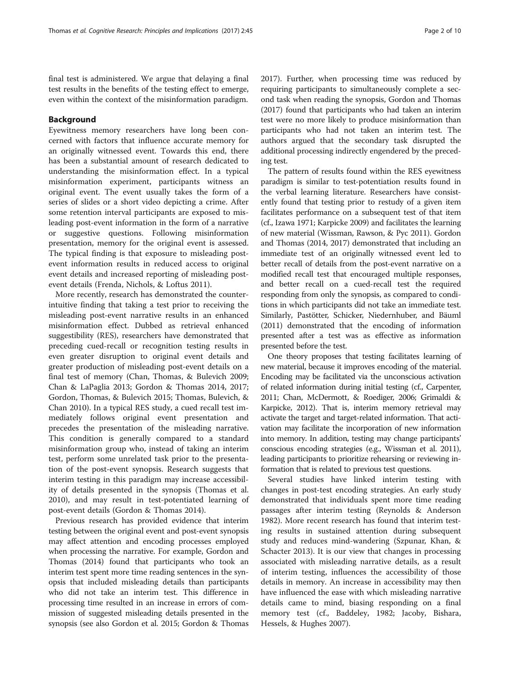final test is administered. We argue that delaying a final test results in the benefits of the testing effect to emerge, even within the context of the misinformation paradigm.

#### Background

Eyewitness memory researchers have long been concerned with factors that influence accurate memory for an originally witnessed event. Towards this end, there has been a substantial amount of research dedicated to understanding the misinformation effect. In a typical misinformation experiment, participants witness an original event. The event usually takes the form of a series of slides or a short video depicting a crime. After some retention interval participants are exposed to misleading post-event information in the form of a narrative or suggestive questions. Following misinformation presentation, memory for the original event is assessed. The typical finding is that exposure to misleading postevent information results in reduced access to original event details and increased reporting of misleading postevent details (Frenda, Nichols, & Loftus [2011](#page-10-0)).

More recently, research has demonstrated the counterintuitive finding that taking a test prior to receiving the misleading post-event narrative results in an enhanced misinformation effect. Dubbed as retrieval enhanced suggestibility (RES), researchers have demonstrated that preceding cued-recall or recognition testing results in even greater disruption to original event details and greater production of misleading post-event details on a final test of memory (Chan, Thomas, & Bulevich [2009](#page-9-0); Chan & LaPaglia [2013;](#page-9-0) Gordon & Thomas [2014](#page-10-0), [2017](#page-10-0); Gordon, Thomas, & Bulevich [2015;](#page-10-0) Thomas, Bulevich, & Chan [2010](#page-10-0)). In a typical RES study, a cued recall test immediately follows original event presentation and precedes the presentation of the misleading narrative. This condition is generally compared to a standard misinformation group who, instead of taking an interim test, perform some unrelated task prior to the presentation of the post-event synopsis. Research suggests that interim testing in this paradigm may increase accessibility of details presented in the synopsis (Thomas et al. [2010](#page-10-0)), and may result in test-potentiated learning of post-event details (Gordon & Thomas [2014](#page-10-0)).

Previous research has provided evidence that interim testing between the original event and post-event synopsis may affect attention and encoding processes employed when processing the narrative. For example, Gordon and Thomas [\(2014](#page-10-0)) found that participants who took an interim test spent more time reading sentences in the synopsis that included misleading details than participants who did not take an interim test. This difference in processing time resulted in an increase in errors of commission of suggested misleading details presented in the synopsis (see also Gordon et al. [2015](#page-10-0); Gordon & Thomas [2017\)](#page-10-0). Further, when processing time was reduced by requiring participants to simultaneously complete a second task when reading the synopsis, Gordon and Thomas ([2017](#page-10-0)) found that participants who had taken an interim test were no more likely to produce misinformation than participants who had not taken an interim test. The authors argued that the secondary task disrupted the additional processing indirectly engendered by the preceding test.

The pattern of results found within the RES eyewitness paradigm is similar to test-potentiation results found in the verbal learning literature. Researchers have consistently found that testing prior to restudy of a given item facilitates performance on a subsequent test of that item (cf., Izawa [1971](#page-10-0); Karpicke [2009](#page-10-0)) and facilitates the learning of new material (Wissman, Rawson, & Pyc [2011](#page-10-0)). Gordon and Thomas ([2014, 2017](#page-10-0)) demonstrated that including an immediate test of an originally witnessed event led to better recall of details from the post-event narrative on a modified recall test that encouraged multiple responses, and better recall on a cued-recall test the required responding from only the synopsis, as compared to conditions in which participants did not take an immediate test. Similarly, Pastötter, Schicker, Niedernhuber, and Bäuml ([2011](#page-10-0)) demonstrated that the encoding of information presented after a test was as effective as information presented before the test.

One theory proposes that testing facilitates learning of new material, because it improves encoding of the material. Encoding may be facilitated via the unconscious activation of related information during initial testing (cf., Carpenter, [2011;](#page-9-0) Chan, McDermott, & Roediger, [2006](#page-9-0); Grimaldi & Karpicke, [2012](#page-10-0)). That is, interim memory retrieval may activate the target and target-related information. That activation may facilitate the incorporation of new information into memory. In addition, testing may change participants' conscious encoding strategies (e.g., Wissman et al. [2011](#page-10-0)), leading participants to prioritize rehearsing or reviewing information that is related to previous test questions.

Several studies have linked interim testing with changes in post-test encoding strategies. An early study demonstrated that individuals spent more time reading passages after interim testing (Reynolds & Anderson [1982](#page-10-0)). More recent research has found that interim testing results in sustained attention during subsequent study and reduces mind-wandering (Szpunar, Khan, & Schacter [2013](#page-10-0)). It is our view that changes in processing associated with misleading narrative details, as a result of interim testing, influences the accessibility of those details in memory. An increase in accessibility may then have influenced the ease with which misleading narrative details came to mind, biasing responding on a final memory test (cf., Baddeley, [1982](#page-9-0); Jacoby, Bishara, Hessels, & Hughes [2007](#page-10-0)).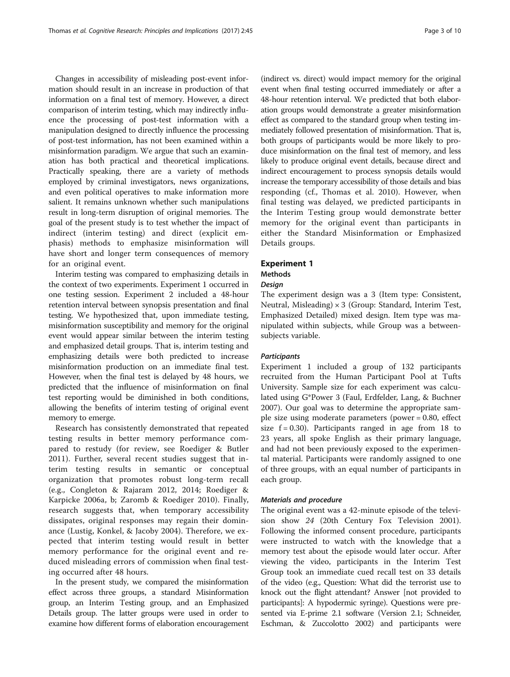Changes in accessibility of misleading post-event information should result in an increase in production of that information on a final test of memory. However, a direct comparison of interim testing, which may indirectly influence the processing of post-test information with a manipulation designed to directly influence the processing of post-test information, has not been examined within a misinformation paradigm. We argue that such an examination has both practical and theoretical implications. Practically speaking, there are a variety of methods employed by criminal investigators, news organizations, and even political operatives to make information more salient. It remains unknown whether such manipulations result in long-term disruption of original memories. The goal of the present study is to test whether the impact of indirect (interim testing) and direct (explicit emphasis) methods to emphasize misinformation will have short and longer term consequences of memory for an original event.

Interim testing was compared to emphasizing details in the context of two experiments. Experiment 1 occurred in one testing session. Experiment 2 included a 48-hour retention interval between synopsis presentation and final testing. We hypothesized that, upon immediate testing, misinformation susceptibility and memory for the original event would appear similar between the interim testing and emphasized detail groups. That is, interim testing and emphasizing details were both predicted to increase misinformation production on an immediate final test. However, when the final test is delayed by 48 hours, we predicted that the influence of misinformation on final test reporting would be diminished in both conditions, allowing the benefits of interim testing of original event memory to emerge.

Research has consistently demonstrated that repeated testing results in better memory performance compared to restudy (for review, see Roediger & Butler [2011\)](#page-10-0). Further, several recent studies suggest that interim testing results in semantic or conceptual organization that promotes robust long-term recall (e.g., Congleton & Rajaram [2012](#page-9-0), [2014;](#page-10-0) Roediger & Karpicke [2006a](#page-10-0), [b](#page-10-0); Zaromb & Roediger [2010](#page-10-0)). Finally, research suggests that, when temporary accessibility dissipates, original responses may regain their dominance (Lustig, Konkel, & Jacoby [2004](#page-10-0)). Therefore, we expected that interim testing would result in better memory performance for the original event and reduced misleading errors of commission when final testing occurred after 48 hours.

In the present study, we compared the misinformation effect across three groups, a standard Misinformation group, an Interim Testing group, and an Emphasized Details group. The latter groups were used in order to examine how different forms of elaboration encouragement

(indirect vs. direct) would impact memory for the original event when final testing occurred immediately or after a 48-hour retention interval. We predicted that both elaboration groups would demonstrate a greater misinformation effect as compared to the standard group when testing immediately followed presentation of misinformation. That is, both groups of participants would be more likely to produce misinformation on the final test of memory, and less likely to produce original event details, because direct and indirect encouragement to process synopsis details would increase the temporary accessibility of those details and bias responding (cf., Thomas et al. [2010\)](#page-10-0). However, when final testing was delayed, we predicted participants in the Interim Testing group would demonstrate better memory for the original event than participants in either the Standard Misinformation or Emphasized Details groups.

#### Experiment 1

#### **Mathods**

#### **Design**

The experiment design was a 3 (Item type: Consistent, Neutral, Misleading)  $\times$  3 (Group: Standard, Interim Test, Emphasized Detailed) mixed design. Item type was manipulated within subjects, while Group was a betweensubjects variable.

#### **Participants**

Experiment 1 included a group of 132 participants recruited from the Human Participant Pool at Tufts University. Sample size for each experiment was calculated using G\*Power 3 (Faul, Erdfelder, Lang, & Buchner [2007](#page-10-0)). Our goal was to determine the appropriate sample size using moderate parameters (power = 0.80, effect size  $f = 0.30$ ). Participants ranged in age from 18 to 23 years, all spoke English as their primary language, and had not been previously exposed to the experimental material. Participants were randomly assigned to one of three groups, with an equal number of participants in each group.

#### Materials and procedure

The original event was a 42-minute episode of the television show 24 (20th Century Fox Television [2001](#page-9-0)). Following the informed consent procedure, participants were instructed to watch with the knowledge that a memory test about the episode would later occur. After viewing the video, participants in the Interim Test Group took an immediate cued recall test on 33 details of the video (e.g., Question: What did the terrorist use to knock out the flight attendant? Answer [not provided to participants]: A hypodermic syringe). Questions were presented via E-prime 2.1 software (Version 2.1; Schneider, Eschman, & Zuccolotto [2002\)](#page-10-0) and participants were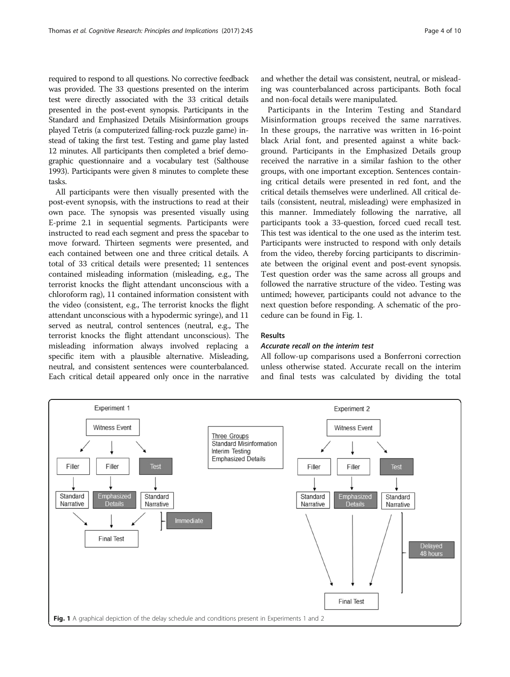required to respond to all questions. No corrective feedback was provided. The 33 questions presented on the interim test were directly associated with the 33 critical details presented in the post-event synopsis. Participants in the Standard and Emphasized Details Misinformation groups played Tetris (a computerized falling-rock puzzle game) instead of taking the first test. Testing and game play lasted 12 minutes. All participants then completed a brief demographic questionnaire and a vocabulary test (Salthouse [1993\)](#page-10-0). Participants were given 8 minutes to complete these tasks.

All participants were then visually presented with the post-event synopsis, with the instructions to read at their own pace. The synopsis was presented visually using E-prime 2.1 in sequential segments. Participants were instructed to read each segment and press the spacebar to move forward. Thirteen segments were presented, and each contained between one and three critical details. A total of 33 critical details were presented; 11 sentences contained misleading information (misleading, e.g., The terrorist knocks the flight attendant unconscious with a chloroform rag), 11 contained information consistent with the video (consistent, e.g., The terrorist knocks the flight attendant unconscious with a hypodermic syringe), and 11 served as neutral, control sentences (neutral, e.g., The terrorist knocks the flight attendant unconscious). The misleading information always involved replacing a specific item with a plausible alternative. Misleading, neutral, and consistent sentences were counterbalanced. Each critical detail appeared only once in the narrative

and whether the detail was consistent, neutral, or misleading was counterbalanced across participants. Both focal and non-focal details were manipulated.

Participants in the Interim Testing and Standard Misinformation groups received the same narratives. In these groups, the narrative was written in 16-point black Arial font, and presented against a white background. Participants in the Emphasized Details group received the narrative in a similar fashion to the other groups, with one important exception. Sentences containing critical details were presented in red font, and the critical details themselves were underlined. All critical details (consistent, neutral, misleading) were emphasized in this manner. Immediately following the narrative, all participants took a 33-question, forced cued recall test. This test was identical to the one used as the interim test. Participants were instructed to respond with only details from the video, thereby forcing participants to discriminate between the original event and post-event synopsis. Test question order was the same across all groups and followed the narrative structure of the video. Testing was untimed; however, participants could not advance to the next question before responding. A schematic of the procedure can be found in Fig. 1.

#### Results

#### Accurate recall on the interim test

All follow-up comparisons used a Bonferroni correction unless otherwise stated. Accurate recall on the interim and final tests was calculated by dividing the total

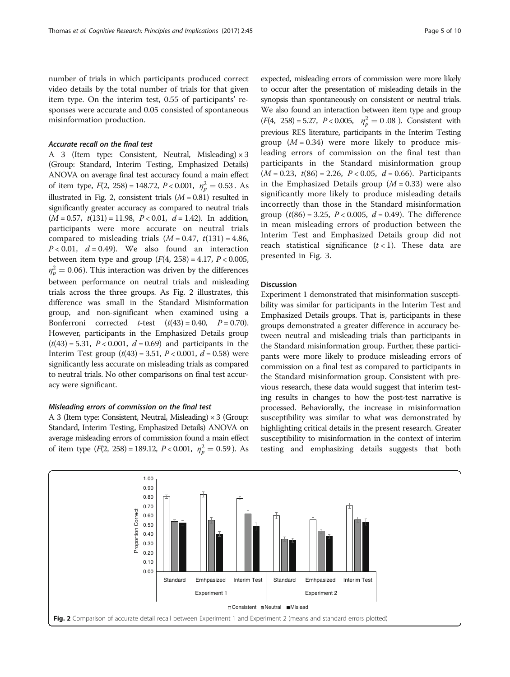<span id="page-5-0"></span>number of trials in which participants produced correct video details by the total number of trials for that given item type. On the interim test, 0.55 of participants' responses were accurate and 0.05 consisted of spontaneous misinformation production.

#### Accurate recall on the final test

A 3 (Item type: Consistent, Neutral, Misleading)  $\times$  3 (Group: Standard, Interim Testing, Emphasized Details) ANOVA on average final test accuracy found a main effect of item type,  $F(2, 258) = 148.72$ ,  $P < 0.001$ ,  $\eta_p^2 = 0.53$ . As illustrated in Fig. 2, consistent trials  $(M = 0.81)$  resulted in significantly greater accuracy as compared to neutral trials  $(M = 0.57, t(131) = 11.98, P < 0.01, d = 1.42)$ . In addition, participants were more accurate on neutral trials compared to misleading trials  $(M = 0.47, t(131) = 4.86,$  $P < 0.01$ ,  $d = 0.49$ ). We also found an interaction between item type and group  $(F(4, 258) = 4.17, P < 0.005,$  $\eta_p^2 = 0.06$ ). This interaction was driven by the differences between performance on neutral trials and misleading trials across the three groups. As Fig. 2 illustrates, this difference was small in the Standard Misinformation group, and non-significant when examined using a Bonferroni corrected *t*-test  $(t(43) = 0.40, P = 0.70)$ . However, participants in the Emphasized Details group  $(t(43) = 5.31, P < 0.001, d = 0.69)$  and participants in the Interim Test group  $(t(43) = 3.51, P < 0.001, d = 0.58)$  were significantly less accurate on misleading trials as compared to neutral trials. No other comparisons on final test accuracy were significant.

#### Misleading errors of commission on the final test

A 3 (Item type: Consistent, Neutral, Misleading) × 3 (Group: Standard, Interim Testing, Emphasized Details) ANOVA on average misleading errors of commission found a main effect of item type  $(F(2, 258) = 189.12, P < 0.001, \eta_p^2 = 0.59)$ . As

expected, misleading errors of commission were more likely to occur after the presentation of misleading details in the synopsis than spontaneously on consistent or neutral trials. We also found an interaction between item type and group  $(F(4, 258) = 5.27, P < 0.005, \eta_p^2 = 0.08$ ). Consistent with previous RES literature, participants in the Interim Testing group  $(M = 0.34)$  were more likely to produce misleading errors of commission on the final test than participants in the Standard misinformation group  $(M = 0.23, t(86) = 2.26, P < 0.05, d = 0.66)$ . Participants in the Emphasized Details group  $(M = 0.33)$  were also significantly more likely to produce misleading details incorrectly than those in the Standard misinformation group  $(t(86) = 3.25, P < 0.005, d = 0.49)$ . The difference in mean misleading errors of production between the Interim Test and Emphasized Details group did not reach statistical significance  $(t < 1)$ . These data are presented in Fig. [3.](#page-6-0)

#### Discussion

Experiment 1 demonstrated that misinformation susceptibility was similar for participants in the Interim Test and Emphasized Details groups. That is, participants in these groups demonstrated a greater difference in accuracy between neutral and misleading trials than participants in the Standard misinformation group. Further, these participants were more likely to produce misleading errors of commission on a final test as compared to participants in the Standard misinformation group. Consistent with previous research, these data would suggest that interim testing results in changes to how the post-test narrative is processed. Behaviorally, the increase in misinformation susceptibility was similar to what was demonstrated by highlighting critical details in the present research. Greater susceptibility to misinformation in the context of interim testing and emphasizing details suggests that both

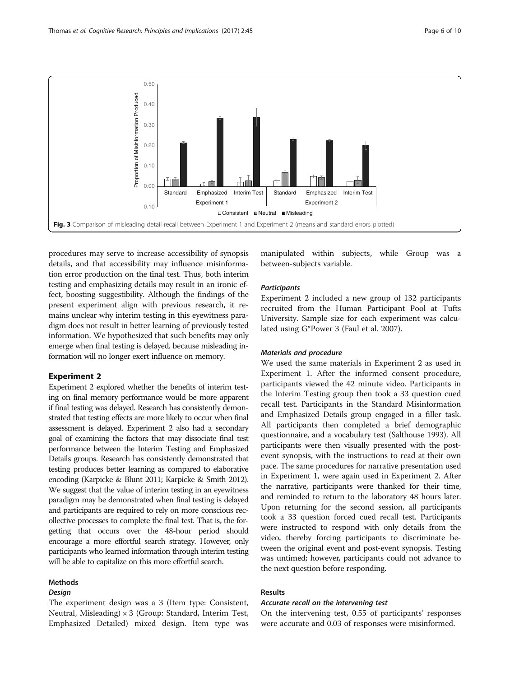<span id="page-6-0"></span>

procedures may serve to increase accessibility of synopsis details, and that accessibility may influence misinformation error production on the final test. Thus, both interim testing and emphasizing details may result in an ironic effect, boosting suggestibility. Although the findings of the present experiment align with previous research, it remains unclear why interim testing in this eyewitness paradigm does not result in better learning of previously tested information. We hypothesized that such benefits may only emerge when final testing is delayed, because misleading information will no longer exert influence on memory.

#### Experiment 2

Experiment 2 explored whether the benefits of interim testing on final memory performance would be more apparent if final testing was delayed. Research has consistently demonstrated that testing effects are more likely to occur when final assessment is delayed. Experiment 2 also had a secondary goal of examining the factors that may dissociate final test performance between the Interim Testing and Emphasized Details groups. Research has consistently demonstrated that testing produces better learning as compared to elaborative encoding (Karpicke & Blunt [2011](#page-10-0); Karpicke & Smith [2012\)](#page-10-0). We suggest that the value of interim testing in an eyewitness paradigm may be demonstrated when final testing is delayed and participants are required to rely on more conscious recollective processes to complete the final test. That is, the forgetting that occurs over the 48-hour period should encourage a more effortful search strategy. However, only participants who learned information through interim testing will be able to capitalize on this more effortful search.

#### Methods

#### Design

The experiment design was a 3 (Item type: Consistent, Neutral, Misleading)  $\times$  3 (Group: Standard, Interim Test, Emphasized Detailed) mixed design. Item type was

manipulated within subjects, while Group was a between-subjects variable.

#### **Participants**

Experiment 2 included a new group of 132 participants recruited from the Human Participant Pool at Tufts University. Sample size for each experiment was calculated using G\*Power 3 (Faul et al. [2007\)](#page-10-0).

#### Materials and procedure

We used the same materials in Experiment 2 as used in Experiment 1. After the informed consent procedure, participants viewed the 42 minute video. Participants in the Interim Testing group then took a 33 question cued recall test. Participants in the Standard Misinformation and Emphasized Details group engaged in a filler task. All participants then completed a brief demographic questionnaire, and a vocabulary test (Salthouse [1993](#page-10-0)). All participants were then visually presented with the postevent synopsis, with the instructions to read at their own pace. The same procedures for narrative presentation used in Experiment 1, were again used in Experiment 2. After the narrative, participants were thanked for their time, and reminded to return to the laboratory 48 hours later. Upon returning for the second session, all participants took a 33 question forced cued recall test. Participants were instructed to respond with only details from the video, thereby forcing participants to discriminate between the original event and post-event synopsis. Testing was untimed; however, participants could not advance to the next question before responding.

#### Results

#### Accurate recall on the intervening test

On the intervening test, 0.55 of participants' responses were accurate and 0.03 of responses were misinformed.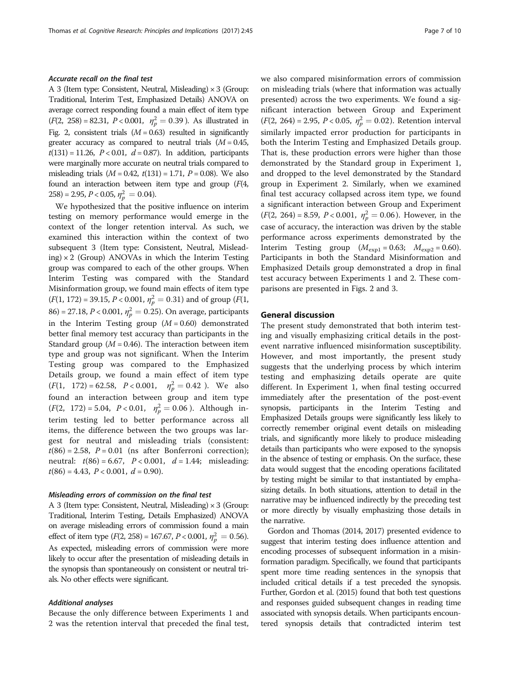#### Accurate recall on the final test

A 3 (Item type: Consistent, Neutral, Misleading)  $\times$  3 (Group: Traditional, Interim Test, Emphasized Details) ANOVA on average correct responding found a main effect of item type  $(F(2, 258) = 82.31, P < 0.001, \eta_p^2 = 0.39$ ). As illustrated in Fig. [2,](#page-5-0) consistent trials  $(M = 0.63)$  resulted in significantly greater accuracy as compared to neutral trials  $(M = 0.45$ ,  $t(131) = 11.26$ ,  $P < 0.01$ ,  $d = 0.87$ ). In addition, participants were marginally more accurate on neutral trials compared to misleading trials  $(M = 0.42, t(131) = 1.71, P = 0.08)$ . We also found an interaction between item type and group  $(F/4,$  $(258) = 2.95, P < 0.05, \eta_p^2 = 0.04$ ).

We hypothesized that the positive influence on interim testing on memory performance would emerge in the context of the longer retention interval. As such, we examined this interaction within the context of two subsequent 3 (Item type: Consistent, Neutral, Misleading)  $\times$  2 (Group) ANOVAs in which the Interim Testing group was compared to each of the other groups. When Interim Testing was compared with the Standard Misinformation group, we found main effects of item type  $(F(1, 172) = 39.15, P < 0.001, \eta_p^2 = 0.31)$  and of group  $(F(1,$ 86) = 27.18,  $P < 0.001$ ,  $\eta_p^2 = 0.25$ ). On average, participants in the Interim Testing group  $(M = 0.60)$  demonstrated better final memory test accuracy than participants in the Standard group ( $M = 0.46$ ). The interaction between item type and group was not significant. When the Interim Testing group was compared to the Emphasized Details group, we found a main effect of item type  $(F(1, 172) = 62.58, P < 0.001, \eta_p^2 = 0.42$ ). We also found an interaction between group and item type  $(F(2, 172) = 5.04, P < 0.01, \eta_p^2 = 0.06$ ). Although interim testing led to better performance across all items, the difference between the two groups was largest for neutral and misleading trials (consistent:  $t(86) = 2.58$ ,  $P = 0.01$  (ns after Bonferroni correction); neutral:  $t(86) = 6.67$ ,  $P < 0.001$ ,  $d = 1.44$ ; misleading:  $t(86) = 4.43$ ,  $P < 0.001$ ,  $d = 0.90$ ).

#### Misleading errors of commission on the final test

A 3 (Item type: Consistent, Neutral, Misleading) × 3 (Group: Traditional, Interim Testing, Details Emphasized) ANOVA on average misleading errors of commission found a main effect of item type  $(F(2, 258) = 167.67, P < 0.001, \eta_p^2 = 0.56)$ . As expected, misleading errors of commission were more likely to occur after the presentation of misleading details in the synopsis than spontaneously on consistent or neutral trials. No other effects were significant.

#### Additional analyses

Because the only difference between Experiments 1 and 2 was the retention interval that preceded the final test,

we also compared misinformation errors of commission on misleading trials (where that information was actually presented) across the two experiments. We found a significant interaction between Group and Experiment  $(F(2, 264) = 2.95, P < 0.05, \eta_p^2 = 0.02)$ . Retention interval similarly impacted error production for participants in both the Interim Testing and Emphasized Details group. That is, these production errors were higher than those demonstrated by the Standard group in Experiment 1, and dropped to the level demonstrated by the Standard group in Experiment 2. Similarly, when we examined final test accuracy collapsed across item type, we found a significant interaction between Group and Experiment  $(F(2, 264) = 8.59, P < 0.001, \eta_p^2 = 0.06)$ . However, in the case of accuracy, the interaction was driven by the stable performance across experiments demonstrated by the Interim Testing group  $(M_{\rm expl} = 0.63; M_{\rm exp2} = 0.60)$ . Participants in both the Standard Misinformation and Emphasized Details group demonstrated a drop in final test accuracy between Experiments 1 and 2. These comparisons are presented in Figs. [2](#page-5-0) and [3.](#page-6-0)

#### General discussion

The present study demonstrated that both interim testing and visually emphasizing critical details in the postevent narrative influenced misinformation susceptibility. However, and most importantly, the present study suggests that the underlying process by which interim testing and emphasizing details operate are quite different. In Experiment 1, when final testing occurred immediately after the presentation of the post-event synopsis, participants in the Interim Testing and Emphasized Details groups were significantly less likely to correctly remember original event details on misleading trials, and significantly more likely to produce misleading details than participants who were exposed to the synopsis in the absence of testing or emphasis. On the surface, these data would suggest that the encoding operations facilitated by testing might be similar to that instantiated by emphasizing details. In both situations, attention to detail in the narrative may be influenced indirectly by the preceding test or more directly by visually emphasizing those details in the narrative.

Gordon and Thomas ([2014, 2017\)](#page-10-0) presented evidence to suggest that interim testing does influence attention and encoding processes of subsequent information in a misinformation paradigm. Specifically, we found that participants spent more time reading sentences in the synopsis that included critical details if a test preceded the synopsis. Further, Gordon et al. ([2015\)](#page-10-0) found that both test questions and responses guided subsequent changes in reading time associated with synopsis details. When participants encountered synopsis details that contradicted interim test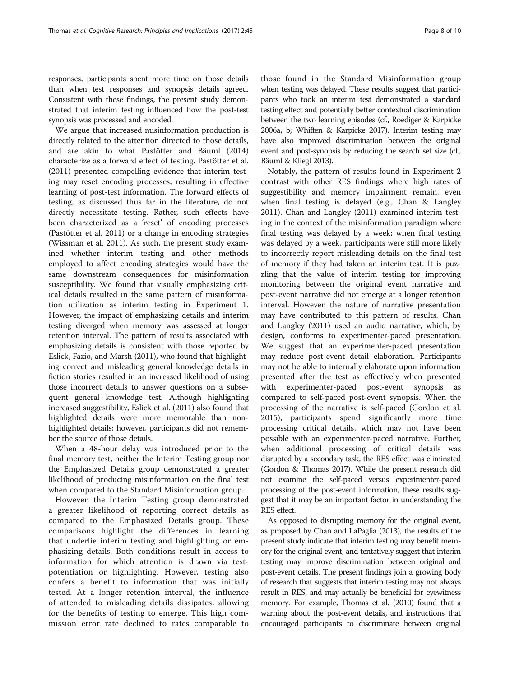responses, participants spent more time on those details than when test responses and synopsis details agreed. Consistent with these findings, the present study demonstrated that interim testing influenced how the post-test synopsis was processed and encoded.

We argue that increased misinformation production is directly related to the attention directed to those details, and are akin to what Pastötter and Bäuml ([2014](#page-10-0)) characterize as a forward effect of testing. Pastötter et al. ([2011](#page-10-0)) presented compelling evidence that interim testing may reset encoding processes, resulting in effective learning of post-test information. The forward effects of testing, as discussed thus far in the literature, do not directly necessitate testing. Rather, such effects have been characterized as a 'reset' of encoding processes (Pastötter et al. [2011\)](#page-10-0) or a change in encoding strategies (Wissman et al. [2011\)](#page-10-0). As such, the present study examined whether interim testing and other methods employed to affect encoding strategies would have the same downstream consequences for misinformation susceptibility. We found that visually emphasizing critical details resulted in the same pattern of misinformation utilization as interim testing in Experiment 1. However, the impact of emphasizing details and interim testing diverged when memory was assessed at longer retention interval. The pattern of results associated with emphasizing details is consistent with those reported by Eslick, Fazio, and Marsh [\(2011](#page-10-0)), who found that highlighting correct and misleading general knowledge details in fiction stories resulted in an increased likelihood of using those incorrect details to answer questions on a subsequent general knowledge test. Although highlighting increased suggestibility, Eslick et al. ([2011](#page-10-0)) also found that highlighted details were more memorable than nonhighlighted details; however, participants did not remember the source of those details.

When a 48-hour delay was introduced prior to the final memory test, neither the Interim Testing group nor the Emphasized Details group demonstrated a greater likelihood of producing misinformation on the final test when compared to the Standard Misinformation group.

However, the Interim Testing group demonstrated a greater likelihood of reporting correct details as compared to the Emphasized Details group. These comparisons highlight the differences in learning that underlie interim testing and highlighting or emphasizing details. Both conditions result in access to information for which attention is drawn via testpotentiation or highlighting. However, testing also confers a benefit to information that was initially tested. At a longer retention interval, the influence of attended to misleading details dissipates, allowing for the benefits of testing to emerge. This high commission error rate declined to rates comparable to those found in the Standard Misinformation group when testing was delayed. These results suggest that participants who took an interim test demonstrated a standard testing effect and potentially better contextual discrimination between the two learning episodes (cf., Roediger & Karpicke [2006a](#page-10-0), [b;](#page-10-0) Whiffen & Karpicke [2017\)](#page-10-0). Interim testing may have also improved discrimination between the original event and post-synopsis by reducing the search set size (cf., Bäuml & Kliegl [2013](#page-9-0)).

Notably, the pattern of results found in Experiment 2 contrast with other RES findings where high rates of suggestibility and memory impairment remain, even when final testing is delayed (e.g., Chan & Langley [2011](#page-9-0)). Chan and Langley ([2011](#page-9-0)) examined interim testing in the context of the misinformation paradigm where final testing was delayed by a week; when final testing was delayed by a week, participants were still more likely to incorrectly report misleading details on the final test of memory if they had taken an interim test. It is puzzling that the value of interim testing for improving monitoring between the original event narrative and post-event narrative did not emerge at a longer retention interval. However, the nature of narrative presentation may have contributed to this pattern of results. Chan and Langley [\(2011](#page-9-0)) used an audio narrative, which, by design, conforms to experimenter-paced presentation. We suggest that an experimenter-paced presentation may reduce post-event detail elaboration. Participants may not be able to internally elaborate upon information presented after the test as effectively when presented with experimenter-paced post-event synopsis as compared to self-paced post-event synopsis. When the processing of the narrative is self-paced (Gordon et al. [2015](#page-10-0)), participants spend significantly more time processing critical details, which may not have been possible with an experimenter-paced narrative. Further, when additional processing of critical details was disrupted by a secondary task, the RES effect was eliminated (Gordon & Thomas [2017](#page-10-0)). While the present research did not examine the self-paced versus experimenter-paced processing of the post-event information, these results suggest that it may be an important factor in understanding the RES effect.

As opposed to disrupting memory for the original event, as proposed by Chan and LaPaglia [\(2013](#page-9-0)), the results of the present study indicate that interim testing may benefit memory for the original event, and tentatively suggest that interim testing may improve discrimination between original and post-event details. The present findings join a growing body of research that suggests that interim testing may not always result in RES, and may actually be beneficial for eyewitness memory. For example, Thomas et al. [\(2010](#page-10-0)) found that a warning about the post-event details, and instructions that encouraged participants to discriminate between original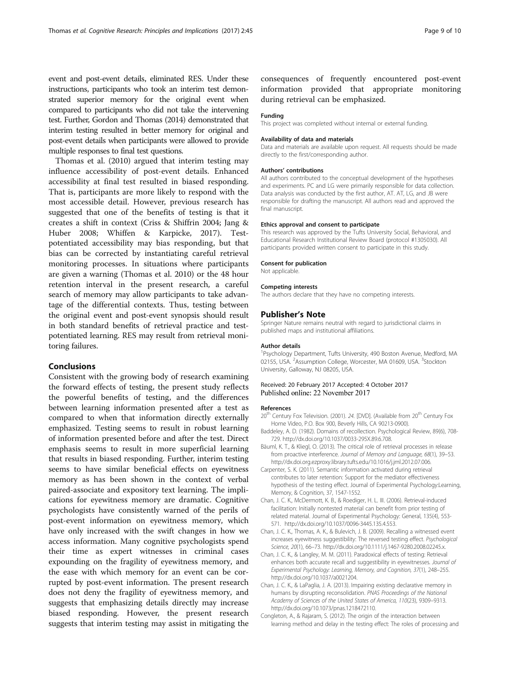<span id="page-9-0"></span>event and post-event details, eliminated RES. Under these instructions, participants who took an interim test demonstrated superior memory for the original event when compared to participants who did not take the intervening test. Further, Gordon and Thomas [\(2014\)](#page-10-0) demonstrated that interim testing resulted in better memory for original and post-event details when participants were allowed to provide multiple responses to final test questions.

Thomas et al. ([2010](#page-10-0)) argued that interim testing may influence accessibility of post-event details. Enhanced accessibility at final test resulted in biased responding. That is, participants are more likely to respond with the most accessible detail. However, previous research has suggested that one of the benefits of testing is that it creates a shift in context (Criss & Shiffrin [2004](#page-10-0); Jang & Huber [2008;](#page-10-0) Whiffen & Karpicke, [2017\)](#page-10-0). Testpotentiated accessibility may bias responding, but that bias can be corrected by instantiating careful retrieval monitoring processes. In situations where participants are given a warning (Thomas et al. [2010\)](#page-10-0) or the 48 hour retention interval in the present research, a careful search of memory may allow participants to take advantage of the differential contexts. Thus, testing between the original event and post-event synopsis should result in both standard benefits of retrieval practice and testpotentiated learning. RES may result from retrieval monitoring failures.

#### Conclusions

Consistent with the growing body of research examining the forward effects of testing, the present study reflects the powerful benefits of testing, and the differences between learning information presented after a test as compared to when that information directly externally emphasized. Testing seems to result in robust learning of information presented before and after the test. Direct emphasis seems to result in more superficial learning that results in biased responding. Further, interim testing seems to have similar beneficial effects on eyewitness memory as has been shown in the context of verbal paired-associate and expository text learning. The implications for eyewitness memory are dramatic. Cognitive psychologists have consistently warned of the perils of post-event information on eyewitness memory, which have only increased with the swift changes in how we access information. Many cognitive psychologists spend their time as expert witnesses in criminal cases expounding on the fragility of eyewitness memory, and the ease with which memory for an event can be corrupted by post-event information. The present research does not deny the fragility of eyewitness memory, and suggests that emphasizing details directly may increase biased responding. However, the present research suggests that interim testing may assist in mitigating the

consequences of frequently encountered post-event information provided that appropriate monitoring during retrieval can be emphasized.

#### Funding

This project was completed without internal or external funding.

#### Availability of data and materials

Data and materials are available upon request. All requests should be made directly to the first/corresponding author.

#### Authors' contributions

All authors contributed to the conceptual development of the hypotheses and experiments. PC and LG were primarily responsible for data collection. Data analysis was conducted by the first author, AT. AT, LG, and JB were responsible for drafting the manuscript. All authors read and approved the final manuscript.

#### Ethics approval and consent to participate

This research was approved by the Tufts University Social, Behavioral, and Educational Research Institutional Review Board (protocol #1305030). All participants provided written consent to participate in this study.

#### Consent for publication

Not applicable.

#### Competing interests

The authors declare that they have no competing interests.

#### Publisher's Note

Springer Nature remains neutral with regard to jurisdictional claims in published maps and institutional affiliations.

#### Author details

<sup>1</sup>Psychology Department, Tufts University, 490 Boston Avenue, Medford, MA 02155, USA. <sup>2</sup>Assumption College, Worcester, MA 01609, USA. <sup>3</sup>Stockton University, Galloway, NJ 08205, USA.

#### Received: 20 February 2017 Accepted: 4 October 2017 Published online: 22 November 2017

#### References

- 20<sup>th</sup> Century Fox Television. (2001). 24. [DVD]. (Available from 20<sup>th</sup> Century Fox Home Video, P.O. Box 900, Beverly Hills, CA 90213-0900).
- Baddeley, A. D. (1982). Domains of recollection. Psychological Review, 89(6), 708- 729. [http://dx.doi.org/10.1037/0033-295X.89.6.708.](http://dx.doi.org/10.1037/0033-295X.89.6.708)
- Bäuml, K. T., & Kliegl, O. (2013). The critical role of retrieval processes in release from proactive interference. Journal of Memory and Language, 68(1), 39–53. [http://dx.doi.org.ezproxy.library.tufts.edu/10.1016/j.jml.2012.07.006.](http://dx.doi.org.ezproxy.library.tufts.edu/10.1016/j.jml.2012.07.006)
- Carpenter, S. K. (2011). Semantic information activated during retrieval contributes to later retention: Support for the mediator effectiveness hypothesis of the testing effect. Journal of Experimental Psychology:Learning, Memory, & Cognition, 37, 1547-1552.
- Chan, J. C. K., McDermott, K. B., & Roediger, H. L. III. (2006). Retrieval-induced facilitation: Initially nontested material can benefit from prior testing of related material. Journal of Experimental Psychology: General, 135(4), 553- 571. [http://dx.doi.org/10.1037/0096-3445.135.4.553.](http://dx.doi.org/10.1037/0096-3445.135.4.553)
- Chan, J. C. K., Thomas, A. K., & Bulevich, J. B. (2009). Recalling a witnessed event increases eyewitness suggestibility: The reversed testing effect. Psychological Science, 20(1), 66–73. [http://dx.doi.org/10.1111/j.1467-9280.2008.02245.x.](http://dx.doi.org/10.1111/j.1467-9280.2008.02245.x)
- Chan, J. C. K., & Langley, M. M. (2011). Paradoxical effects of testing: Retrieval enhances both accurate recall and suggestibility in eyewitnesses. Journal of Experimental Psychology: Learning, Memory, and Cognition, 37(1), 248–255. [http://dx.doi.org/10.1037/a0021204.](http://dx.doi.org/10.1037/a0021204)
- Chan, J. C. K., & LaPaglia, J. A. (2013). Impairing existing declarative memory in humans by disrupting reconsolidation. PNAS Proceedings of the National Academy of Sciences of the United States of America, 110(23), 9309–9313. <http://dx.doi.org/10.1073/pnas.1218472110>.
- Congleton, A., & Rajaram, S. (2012). The origin of the interaction between learning method and delay in the testing effect: The roles of processing and